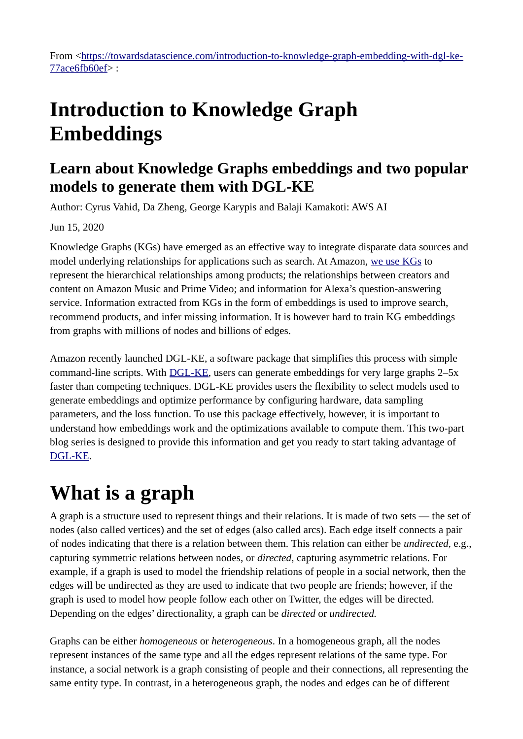From [<https://towardsdatascience.com/introduction-to-knowledge-graph-embedding-with-dgl-ke-](https://towardsdatascience.com/introduction-to-knowledge-graph-embedding-with-dgl-ke-77ace6fb60ef)[77ace6fb60ef](https://towardsdatascience.com/introduction-to-knowledge-graph-embedding-with-dgl-ke-77ace6fb60ef)> :

### **Introduction to Knowledge Graph Embeddings**

### **Learn about Knowledge Graphs embeddings and two popular models to generate them with DGL-KE**

Author: Cyrus Vahid, Da Zheng, George Karypis and Balaji Kamakoti: AWS AI

Jun 15, 2020

Knowledge Graphs (KGs) have emerged as an effective way to integrate disparate data sources and model underlying relationships for applications such as search. At Amazon, [we use KGs](https://www.amazon.science/blog/combining-knowledge-graphs-quickly-and-accurately) to represent the hierarchical relationships among products; the relationships between creators and content on Amazon Music and Prime Video; and information for Alexa's question-answering service. Information extracted from KGs in the form of embeddings is used to improve search, recommend products, and infer missing information. It is however hard to train KG embeddings from graphs with millions of nodes and billions of edges.

Amazon recently launched DGL-KE, a software package that simplifies this process with simple command-line scripts. With [DGL-KE](https://github.com/awslabs/dgl-ke), users can generate embeddings for very large graphs 2–5x faster than competing techniques. DGL-KE provides users the flexibility to select models used to generate embeddings and optimize performance by configuring hardware, data sampling parameters, and the loss function. To use this package effectively, however, it is important to understand how embeddings work and the optimizations available to compute them. This two-part blog series is designed to provide this information and get you ready to start taking advantage of [DGL-KE](https://github.com/awslabs/dgl-ke).

### **What is a graph**

A graph is a structure used to represent things and their relations. It is made of two sets — the set of nodes (also called vertices) and the set of edges (also called arcs). Each edge itself connects a pair of nodes indicating that there is a relation between them. This relation can either be *undirected*, e.g., capturing symmetric relations between nodes, or *directed*, capturing asymmetric relations. For example, if a graph is used to model the friendship relations of people in a social network, then the edges will be undirected as they are used to indicate that two people are friends; however, if the graph is used to model how people follow each other on Twitter, the edges will be directed. Depending on the edges' directionality, a graph can be *directed* or *undirected.* 

Graphs can be either *homogeneous* or *heterogeneous*. In a homogeneous graph, all the nodes represent instances of the same type and all the edges represent relations of the same type. For instance, a social network is a graph consisting of people and their connections, all representing the same entity type. In contrast, in a heterogeneous graph, the nodes and edges can be of different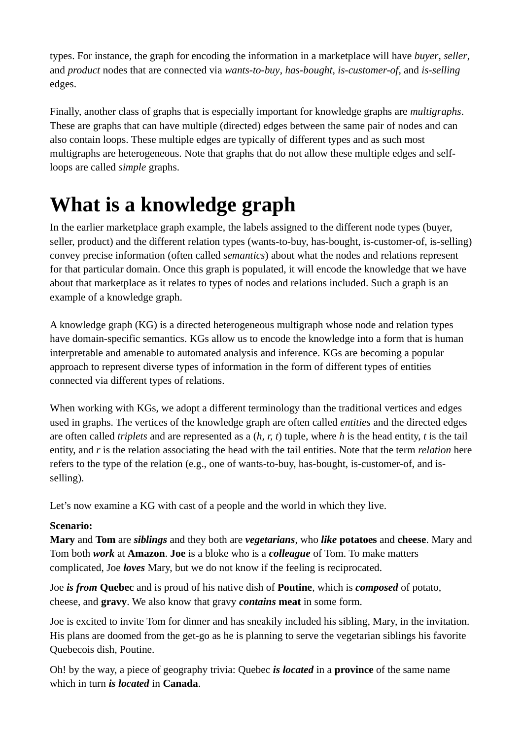types. For instance, the graph for encoding the information in a marketplace will have *buyer*, *seller*, and *product* nodes that are connected via *wants-to-buy*, *has-bought*, *is-customer-of*, and *is-selling* edges.

Finally, another class of graphs that is especially important for knowledge graphs are *multigraphs*. These are graphs that can have multiple (directed) edges between the same pair of nodes and can also contain loops. These multiple edges are typically of different types and as such most multigraphs are heterogeneous. Note that graphs that do not allow these multiple edges and selfloops are called *simple* graphs.

# **What is a knowledge graph**

In the earlier marketplace graph example, the labels assigned to the different node types (buyer, seller, product) and the different relation types (wants-to-buy, has-bought, is-customer-of, is-selling) convey precise information (often called *semantics*) about what the nodes and relations represent for that particular domain. Once this graph is populated, it will encode the knowledge that we have about that marketplace as it relates to types of nodes and relations included. Such a graph is an example of a knowledge graph.

A knowledge graph (KG) is a directed heterogeneous multigraph whose node and relation types have domain-specific semantics. KGs allow us to encode the knowledge into a form that is human interpretable and amenable to automated analysis and inference. KGs are becoming a popular approach to represent diverse types of information in the form of different types of entities connected via different types of relations.

When working with KGs, we adopt a different terminology than the traditional vertices and edges used in graphs. The vertices of the knowledge graph are often called *entities* and the directed edges are often called *triplets* and are represented as a (*h, r, t*) tuple, where *h* is the head entity, *t* is the tail entity, and *r* is the relation associating the head with the tail entities. Note that the term *relation* here refers to the type of the relation (e.g., one of wants-to-buy, has-bought, is-customer-of, and isselling).

Let's now examine a KG with cast of a people and the world in which they live.

#### **Scenario:**

**Mary** and **Tom** are *siblings* and they both are *vegetarians*, who *like* **potatoes** and **cheese**. Mary and Tom both *work* at **Amazon**. **Joe** is a bloke who is a *colleague* of Tom. To make matters complicated, Joe *loves* Mary, but we do not know if the feeling is reciprocated.

Joe *is from* **Quebec** and is proud of his native dish of **Poutine**, which is *composed* of potato, cheese, and **gravy**. We also know that gravy *contains* **meat** in some form.

Joe is excited to invite Tom for dinner and has sneakily included his sibling, Mary, in the invitation. His plans are doomed from the get-go as he is planning to serve the vegetarian siblings his favorite Quebecois dish, Poutine.

Oh! by the way, a piece of geography trivia: Quebec *is located* in a **province** of the same name which in turn *is located* in **Canada**.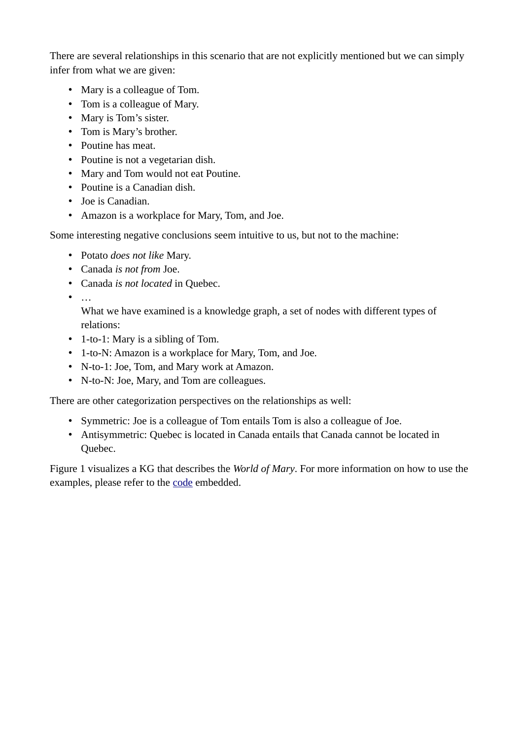There are several relationships in this scenario that are not explicitly mentioned but we can simply infer from what we are given:

- Mary is a colleague of Tom.
- Tom is a colleague of Mary.
- Mary is Tom's sister.
- Tom is Mary's brother.
- Poutine has meat.
- Poutine is not a vegetarian dish.
- Mary and Tom would not eat Poutine.
- Poutine is a Canadian dish.
- Joe is Canadian.
- Amazon is a workplace for Mary, Tom, and Joe.

Some interesting negative conclusions seem intuitive to us, but not to the machine:

- Potato *does not like* Mary.
- Canada *is not from* Joe.
- Canada *is not located* in Quebec.
- $\bullet$  …

What we have examined is a knowledge graph, a set of nodes with different types of relations:

- 1-to-1: Mary is a sibling of Tom.
- 1-to-N: Amazon is a workplace for Mary, Tom, and Joe.
- N-to-1: Joe, Tom, and Mary work at Amazon.
- N-to-N: Joe, Mary, and Tom are colleagues.

There are other categorization perspectives on the relationships as well:

- Symmetric: Joe is a colleague of Tom entails Tom is also a colleague of Joe.
- Antisymmetric: Quebec is located in Canada entails that Canada cannot be located in Quebec.

Figure 1 visualizes a KG that describes the *World of Mary*. For more information on how to use the examples, please refer to the [code](https://github.com/cyrusmvahid/GNNTrainingMaterial/tree/master/supporting_examples) embedded.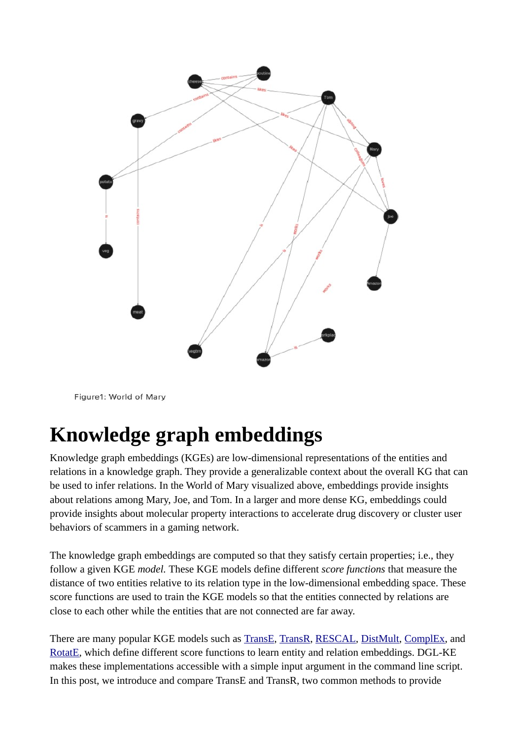

Figure1: World of Mary

### **Knowledge graph embeddings**

Knowledge graph embeddings (KGEs) are low-dimensional representations of the entities and relations in a knowledge graph. They provide a generalizable context about the overall KG that can be used to infer relations. In the World of Mary visualized above, embeddings provide insights about relations among Mary, Joe, and Tom. In a larger and more dense KG, embeddings could provide insights about molecular property interactions to accelerate drug discovery or cluster user behaviors of scammers in a gaming network.

The knowledge graph embeddings are computed so that they satisfy certain properties; i.e., they follow a given KGE *model.* These KGE models define different *score functions* that measure the distance of two entities relative to its relation type in the low-dimensional embedding space. These score functions are used to train the KGE models so that the entities connected by relations are close to each other while the entities that are not connected are far away.

There are many popular KGE models such as [TransE](https://papers.nips.cc/paper/5071-translating-embeddings-for-modeling-multi-relational-data.pdf), [TransR](https://www.aaai.org/ocs/index.php/AAAI/AAAI15/paper/viewPaper/9571), [RESCAL](http://citeseerx.ist.psu.edu/viewdoc/download?doi=10.1.1.383.2015&rep=rep1&type=pdf), [DistMult,](https://arxiv.org/abs/1412.6575) [ComplEx,](http://proceedings.mlr.press/v48/trouillon16.pdf) and [RotatE](https://arxiv.org/pdf/1902.10197.pdf), which define different score functions to learn entity and relation embeddings. DGL-KE makes these implementations accessible with a simple input argument in the command line script. In this post, we introduce and compare TransE and TransR, two common methods to provide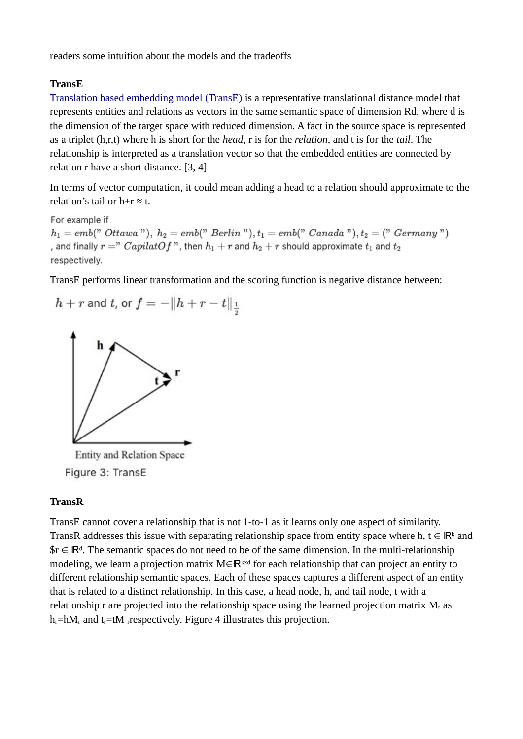readers some intuition about the models and the tradeoffs

#### **TransE**

[Translation based embedding model \(TransE\)](https://arxiv.org/pdf/1806.01973.pdf) is a representative translational distance model that represents entities and relations as vectors in the same semantic space of dimension Rd, where d is the dimension of the target space with reduced dimension. A fact in the source space is represented as a triplet (h,r,t) where h is short for the *head*, r is for the *relation*, and t is for the *tail*. The relationship is interpreted as a translation vector so that the embedded entities are connected by relation r have a short distance. [3, 4]

In terms of vector computation, it could mean adding a head to a relation should approximate to the relation's tail or  $h+r \approx t$ .

For example if  $h_1 = emb("Ottawa"), h_2 = emb("Berlin"), t_1 = emb("Canada"), t_2 = ("Germany")$ , and finally  $r =$ "  $CapilatOf$ ", then  $h_1 + r$  and  $h_2 + r$  should approximate  $t_1$  and  $t_2$ respectively.

TransE performs linear transformation and the scoring function is negative distance between:



**Entity and Relation Space** Figure 3: TransE

#### **TransR**

TransE cannot cover a relationship that is not 1-to-1 as it learns only one aspect of similarity. TransR addresses this issue with separating relationship space from entity space where h, t  $\in \mathbb{R}^k$  and  $\mathbb{S}r \in \mathbb{R}^d$ . The semantic spaces do not need to be of the same dimension. In the multi-relationship modeling, we learn a projection matrix  $M \in \mathbb{R}^{k \times d}$  for each relationship that can project an entity to different relationship semantic spaces. Each of these spaces captures a different aspect of an entity that is related to a distinct relationship. In this case, a head node, h, and tail node, t with a relationship r are projected into the relationship space using the learned projection matrix  $M<sub>r</sub>$  as  $h_r = hM_r$  and  $t_r = tM$  respectively. Figure 4 illustrates this projection.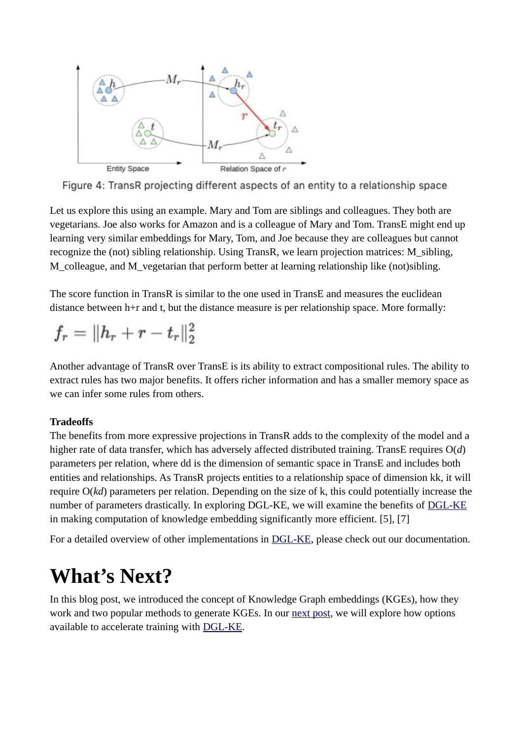

Figure 4: TransR projecting different aspects of an entity to a relationship space.

Let us explore this using an example. Mary and Tom are siblings and colleagues. They both are vegetarians. Joe also works for Amazon and is a colleague of Mary and Tom. TransE might end up learning very similar embeddings for Mary, Tom, and Joe because they are colleagues but cannot recognize the (not) sibling relationship. Using TransR, we learn projection matrices: M\_sibling, M\_colleague, and M\_vegetarian that perform better at learning relationship like (not)sibling.

The score function in TransR is similar to the one used in TransE and measures the euclidean distance between h+r and t, but the distance measure is per relationship space. More formally:

$$
f_r=\|h_r+r-t_r\|_2^2
$$

Another advantage of TransR over TransE is its ability to extract compositional rules. The ability to extract rules has two major benefits. It offers richer information and has a smaller memory space as we can infer some rules from others.

#### **Tradeoffs**

The benefits from more expressive projections in TransR adds to the complexity of the model and a higher rate of data transfer, which has adversely affected distributed training. TransE requires O(*d*) parameters per relation, where dd is the dimension of semantic space in TransE and includes both entities and relationships. As TransR projects entities to a relationship space of dimension kk, it will require O(*kd*) parameters per relation. Depending on the size of k, this could potentially increase the number of parameters drastically. In exploring DGL-KE, we will examine the benefits of [DGL-KE](https://github.com/awslabs/dgl-ke) in making computation of knowledge embedding significantly more efficient. [5], [7]

For a detailed overview of other implementations in [DGL-KE](https://github.com/awslabs/dgl-ke), please check out our documentation.

### **What's Next?**

In this blog post, we introduced the concept of Knowledge Graph embeddings (KGEs), how they work and two popular methods to generate KGEs. In our [next post](https://towardsdatascience.com/optimize-knowledge-graph-embeddings-with-dgl-ke-1fff4ab275f2?source=email-ad11aea5ba40-1592228879945-layerCake.autoLayerCakeWriterNotification-------------------------c241be34_5fc5_43b9_a2f1_4c0d47b32e26&sk=c5e477feb73aba2119c44ea54d91bf47), we will explore how options available to accelerate training with [DGL-KE.](https://github.com/awslabs/dgl-ke)